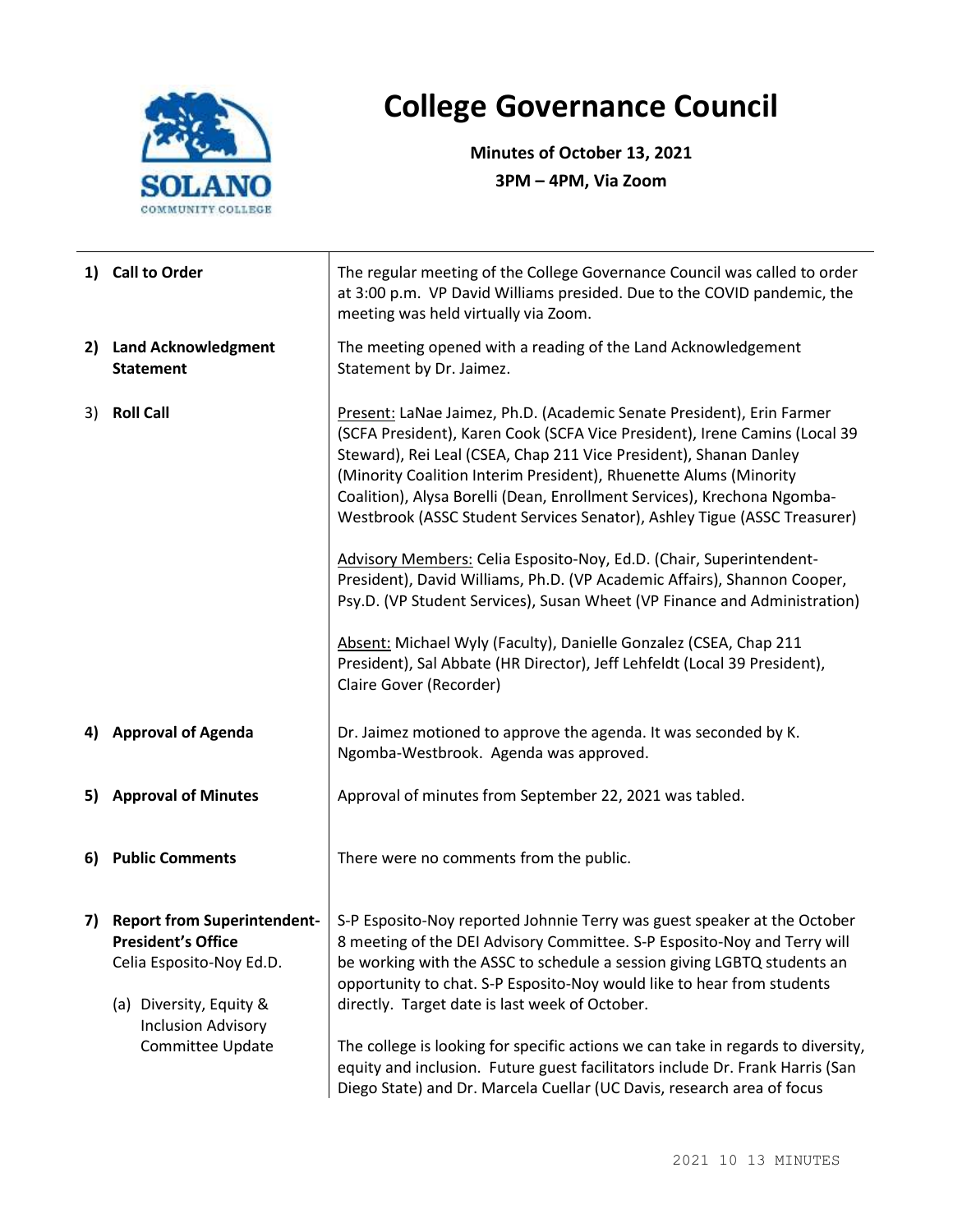

## **College Governance Council**

**Minutes of October 13, 2021 3PM – 4PM, Via Zoom**

|    | 1) Call to Order                                                                                                                                                        | The regular meeting of the College Governance Council was called to order<br>at 3:00 p.m. VP David Williams presided. Due to the COVID pandemic, the<br>meeting was held virtually via Zoom.                                                                                                                                                                                                                                                                                                                                                                                                                                                                                                                                                                                                                                           |  |  |
|----|-------------------------------------------------------------------------------------------------------------------------------------------------------------------------|----------------------------------------------------------------------------------------------------------------------------------------------------------------------------------------------------------------------------------------------------------------------------------------------------------------------------------------------------------------------------------------------------------------------------------------------------------------------------------------------------------------------------------------------------------------------------------------------------------------------------------------------------------------------------------------------------------------------------------------------------------------------------------------------------------------------------------------|--|--|
|    | 2) Land Acknowledgment<br><b>Statement</b>                                                                                                                              | The meeting opened with a reading of the Land Acknowledgement<br>Statement by Dr. Jaimez.                                                                                                                                                                                                                                                                                                                                                                                                                                                                                                                                                                                                                                                                                                                                              |  |  |
| 3) | <b>Roll Call</b>                                                                                                                                                        | Present: LaNae Jaimez, Ph.D. (Academic Senate President), Erin Farmer<br>(SCFA President), Karen Cook (SCFA Vice President), Irene Camins (Local 39<br>Steward), Rei Leal (CSEA, Chap 211 Vice President), Shanan Danley<br>(Minority Coalition Interim President), Rhuenette Alums (Minority<br>Coalition), Alysa Borelli (Dean, Enrollment Services), Krechona Ngomba-<br>Westbrook (ASSC Student Services Senator), Ashley Tigue (ASSC Treasurer)<br>Advisory Members: Celia Esposito-Noy, Ed.D. (Chair, Superintendent-<br>President), David Williams, Ph.D. (VP Academic Affairs), Shannon Cooper,<br>Psy.D. (VP Student Services), Susan Wheet (VP Finance and Administration)<br>Absent: Michael Wyly (Faculty), Danielle Gonzalez (CSEA, Chap 211<br>President), Sal Abbate (HR Director), Jeff Lehfeldt (Local 39 President), |  |  |
|    |                                                                                                                                                                         | Claire Gover (Recorder)                                                                                                                                                                                                                                                                                                                                                                                                                                                                                                                                                                                                                                                                                                                                                                                                                |  |  |
|    | 4) Approval of Agenda                                                                                                                                                   | Dr. Jaimez motioned to approve the agenda. It was seconded by K.<br>Ngomba-Westbrook. Agenda was approved.                                                                                                                                                                                                                                                                                                                                                                                                                                                                                                                                                                                                                                                                                                                             |  |  |
|    | 5) Approval of Minutes                                                                                                                                                  | Approval of minutes from September 22, 2021 was tabled.                                                                                                                                                                                                                                                                                                                                                                                                                                                                                                                                                                                                                                                                                                                                                                                |  |  |
|    | 6) Public Comments                                                                                                                                                      | There were no comments from the public.                                                                                                                                                                                                                                                                                                                                                                                                                                                                                                                                                                                                                                                                                                                                                                                                |  |  |
| 7) | <b>Report from Superintendent-</b><br><b>President's Office</b><br>Celia Esposito-Noy Ed.D.<br>(a) Diversity, Equity &<br><b>Inclusion Advisory</b><br>Committee Update | S-P Esposito-Noy reported Johnnie Terry was guest speaker at the October<br>8 meeting of the DEI Advisory Committee. S-P Esposito-Noy and Terry will<br>be working with the ASSC to schedule a session giving LGBTQ students an<br>opportunity to chat. S-P Esposito-Noy would like to hear from students<br>directly. Target date is last week of October.<br>The college is looking for specific actions we can take in regards to diversity,<br>equity and inclusion. Future guest facilitators include Dr. Frank Harris (San<br>Diego State) and Dr. Marcela Cuellar (UC Davis, research area of focus                                                                                                                                                                                                                             |  |  |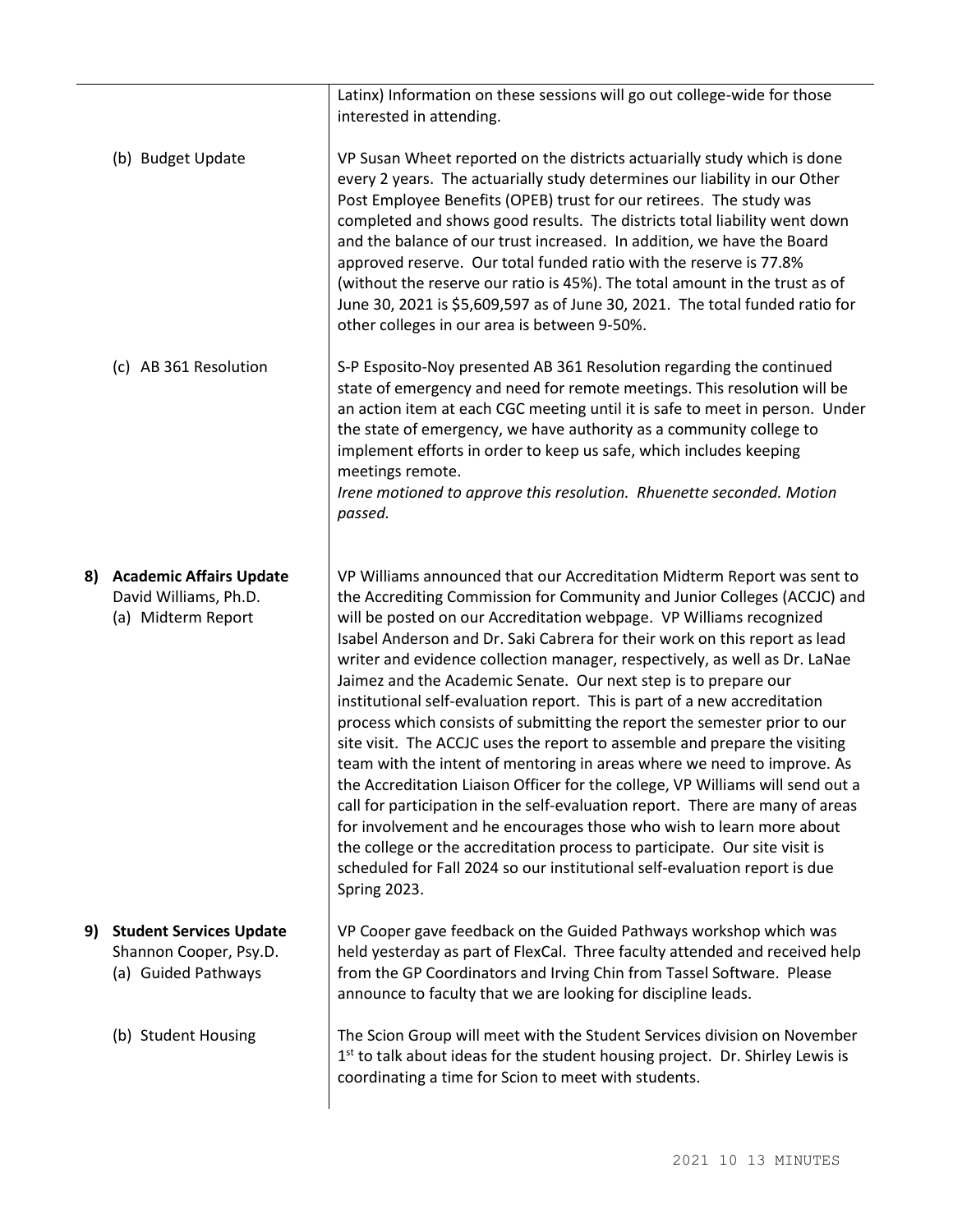|                   |                                                                                 | Latinx) Information on these sessions will go out college-wide for those<br>interested in attending.                                                                                                                                                                                                                                                                                                                                                                                                                                                                                                                                                                                                                                                                                                                                                                                                                                                                                                                                                                                                                                                                                                |
|-------------------|---------------------------------------------------------------------------------|-----------------------------------------------------------------------------------------------------------------------------------------------------------------------------------------------------------------------------------------------------------------------------------------------------------------------------------------------------------------------------------------------------------------------------------------------------------------------------------------------------------------------------------------------------------------------------------------------------------------------------------------------------------------------------------------------------------------------------------------------------------------------------------------------------------------------------------------------------------------------------------------------------------------------------------------------------------------------------------------------------------------------------------------------------------------------------------------------------------------------------------------------------------------------------------------------------|
| (b) Budget Update |                                                                                 | VP Susan Wheet reported on the districts actuarially study which is done<br>every 2 years. The actuarially study determines our liability in our Other<br>Post Employee Benefits (OPEB) trust for our retirees. The study was<br>completed and shows good results. The districts total liability went down<br>and the balance of our trust increased. In addition, we have the Board<br>approved reserve. Our total funded ratio with the reserve is 77.8%<br>(without the reserve our ratio is 45%). The total amount in the trust as of<br>June 30, 2021 is \$5,609,597 as of June 30, 2021. The total funded ratio for<br>other colleges in our area is between 9-50%.                                                                                                                                                                                                                                                                                                                                                                                                                                                                                                                           |
|                   | (c) AB 361 Resolution                                                           | S-P Esposito-Noy presented AB 361 Resolution regarding the continued<br>state of emergency and need for remote meetings. This resolution will be<br>an action item at each CGC meeting until it is safe to meet in person. Under<br>the state of emergency, we have authority as a community college to<br>implement efforts in order to keep us safe, which includes keeping<br>meetings remote.<br>Irene motioned to approve this resolution. Rhuenette seconded. Motion<br>passed.                                                                                                                                                                                                                                                                                                                                                                                                                                                                                                                                                                                                                                                                                                               |
|                   | 8) Academic Affairs Update<br>David Williams, Ph.D.<br>(a) Midterm Report       | VP Williams announced that our Accreditation Midterm Report was sent to<br>the Accrediting Commission for Community and Junior Colleges (ACCJC) and<br>will be posted on our Accreditation webpage. VP Williams recognized<br>Isabel Anderson and Dr. Saki Cabrera for their work on this report as lead<br>writer and evidence collection manager, respectively, as well as Dr. LaNae<br>Jaimez and the Academic Senate. Our next step is to prepare our<br>institutional self-evaluation report. This is part of a new accreditation<br>process which consists of submitting the report the semester prior to our<br>site visit. The ACCJC uses the report to assemble and prepare the visiting<br>team with the intent of mentoring in areas where we need to improve. As<br>the Accreditation Liaison Officer for the college, VP Williams will send out a<br>call for participation in the self-evaluation report. There are many of areas<br>for involvement and he encourages those who wish to learn more about<br>the college or the accreditation process to participate. Our site visit is<br>scheduled for Fall 2024 so our institutional self-evaluation report is due<br>Spring 2023. |
| 9)                | <b>Student Services Update</b><br>Shannon Cooper, Psy.D.<br>(a) Guided Pathways | VP Cooper gave feedback on the Guided Pathways workshop which was<br>held yesterday as part of FlexCal. Three faculty attended and received help<br>from the GP Coordinators and Irving Chin from Tassel Software. Please<br>announce to faculty that we are looking for discipline leads.                                                                                                                                                                                                                                                                                                                                                                                                                                                                                                                                                                                                                                                                                                                                                                                                                                                                                                          |
|                   | (b) Student Housing                                                             | The Scion Group will meet with the Student Services division on November<br>$1st$ to talk about ideas for the student housing project. Dr. Shirley Lewis is<br>coordinating a time for Scion to meet with students.                                                                                                                                                                                                                                                                                                                                                                                                                                                                                                                                                                                                                                                                                                                                                                                                                                                                                                                                                                                 |